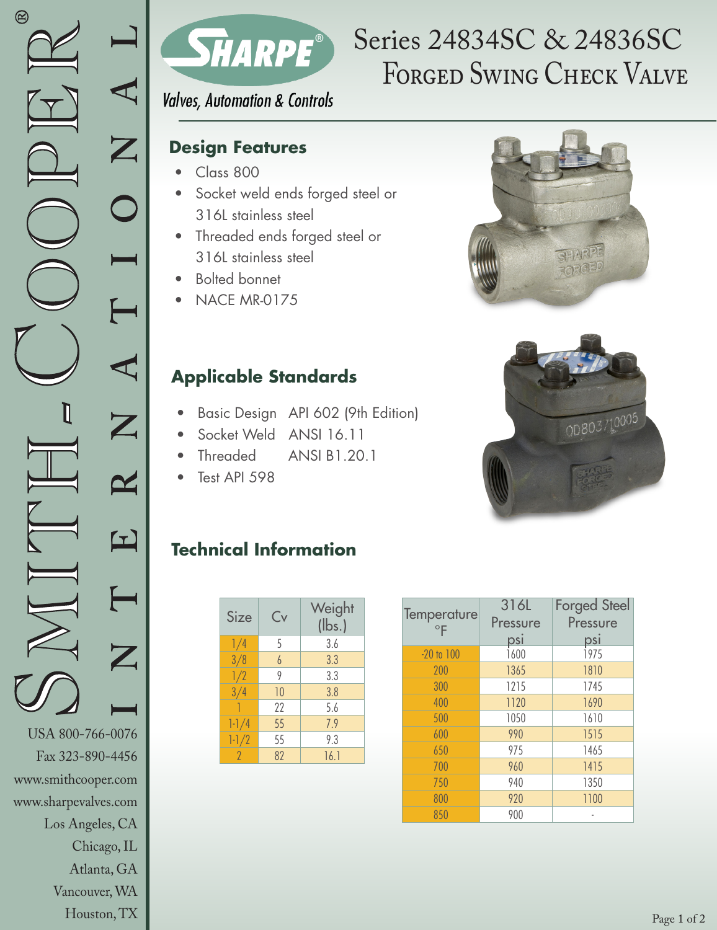Vancouver, WA Houston, TX



# Forged Swing Check Valve Series 24834SC & 24836SC

**Valves, Automation & Controls** 

#### **Design Features**

- Class 800
- Socket weld ends forged steel or 316L stainless steel
- Threaded ends forged steel or 316L stainless steel
- Bolted bonnet
- NACE MR-0175

## **Applicable Standards**

- Basic Design API 602 (9th Edition)
- Socket Weld ANSI 16.11
- Threaded ANSI B1.20.1
- Test API 598





## **Technical Information**

| Size      | Cv | Weight<br>$(\mathsf{lbs.})$ |
|-----------|----|-----------------------------|
| 1/4       | 5  | 3.6                         |
| 3/8       | 6  | 3.3                         |
| 1/2       | 9  | 3.3                         |
| 3/4       | 10 | 3.8                         |
|           | 22 | 5.6                         |
| $1 - 1/4$ | 55 | 7.9                         |
| $1 - 1/2$ | 55 | 9.3                         |
| 2         | 82 | 16.1                        |

| Temperature    | 316L     | <b>Forged Steel</b> |
|----------------|----------|---------------------|
| $\circ$ F      | Pressure | Pressure            |
|                | psi      | psi                 |
| $-20$ to $100$ | 1600     | 1975                |
| 200            | 1365     | 1810                |
| 300            | 1215     | 1745                |
| 400            | 1120     | 1690                |
| 500            | 1050     | 1610                |
| 600            | 990      | 1515                |
| 650            | 975      | 1465                |
| 700            | 960      | 1415                |
| 750            | 940      | 1350                |
| 800            | 920      | 1100                |
| 850            | 900      |                     |